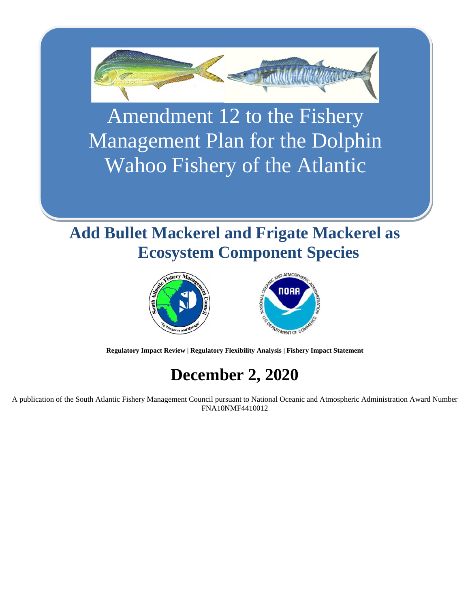

Amendment 12 to the Fishery Management Plan for the Dolphin Wahoo Fishery of the Atlantic

**Add Bullet Mackerel and Frigate Mackerel as Ecosystem Component Species**



**Regulatory Impact Review | Regulatory Flexibility Analysis | Fishery Impact Statement**

## **December 2, 2020**

A publication of the South Atlantic Fishery Management Council pursuant to National Oceanic and Atmospheric Administration Award Number FNA10NMF4410012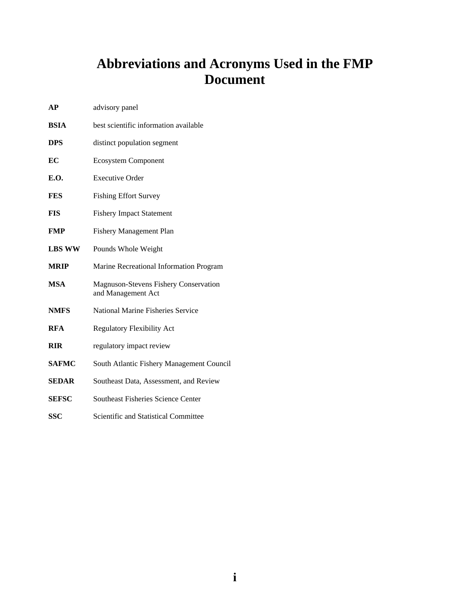## **Abbreviations and Acronyms Used in the FMP Document**

| AP            | advisory panel                                              |
|---------------|-------------------------------------------------------------|
| BSIA          | best scientific information available                       |
| <b>DPS</b>    | distinct population segment                                 |
| EC            | <b>Ecosystem Component</b>                                  |
| E.O.          | <b>Executive Order</b>                                      |
| <b>FES</b>    | <b>Fishing Effort Survey</b>                                |
| <b>FIS</b>    | <b>Fishery Impact Statement</b>                             |
| <b>FMP</b>    | <b>Fishery Management Plan</b>                              |
| <b>LBS WW</b> | Pounds Whole Weight                                         |
| <b>MRIP</b>   | Marine Recreational Information Program                     |
| <b>MSA</b>    | Magnuson-Stevens Fishery Conservation<br>and Management Act |
| <b>NMFS</b>   | National Marine Fisheries Service                           |
| <b>RFA</b>    | <b>Regulatory Flexibility Act</b>                           |
| <b>RIR</b>    | regulatory impact review                                    |
| <b>SAFMC</b>  | South Atlantic Fishery Management Council                   |
| <b>SEDAR</b>  | Southeast Data, Assessment, and Review                      |
| <b>SEFSC</b>  | <b>Southeast Fisheries Science Center</b>                   |
| SSC           | <b>Scientific and Statistical Committee</b>                 |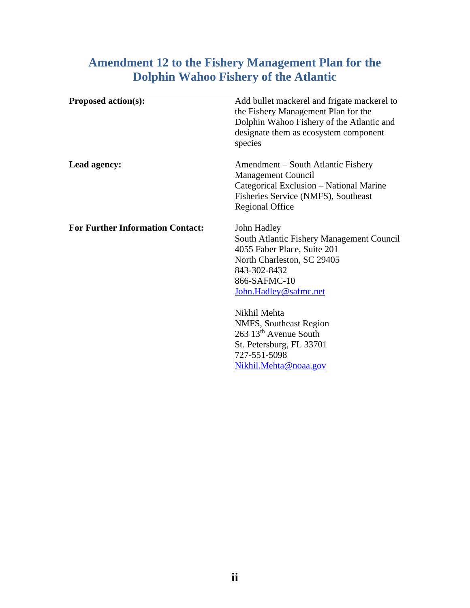## **Amendment 12 to the Fishery Management Plan for the Dolphin Wahoo Fishery of the Atlantic**

| <b>Proposed action(s):</b>              | Add bullet mackerel and frigate mackerel to<br>the Fishery Management Plan for the<br>Dolphin Wahoo Fishery of the Atlantic and<br>designate them as ecosystem component<br>species            |
|-----------------------------------------|------------------------------------------------------------------------------------------------------------------------------------------------------------------------------------------------|
| Lead agency:                            | Amendment – South Atlantic Fishery<br><b>Management Council</b><br>Categorical Exclusion – National Marine<br>Fisheries Service (NMFS), Southeast<br><b>Regional Office</b>                    |
| <b>For Further Information Contact:</b> | John Hadley<br>South Atlantic Fishery Management Council<br>4055 Faber Place, Suite 201<br>North Charleston, SC 29405<br>843-302-8432<br>866-SAFMC-10<br>John.Hadley@safmc.net<br>Nikhil Mehta |
|                                         | <b>NMFS, Southeast Region</b><br>263 13 <sup>th</sup> Avenue South<br>St. Petersburg, FL 33701<br>727-551-5098<br>Nikhil.Mehta@noaa.gov                                                        |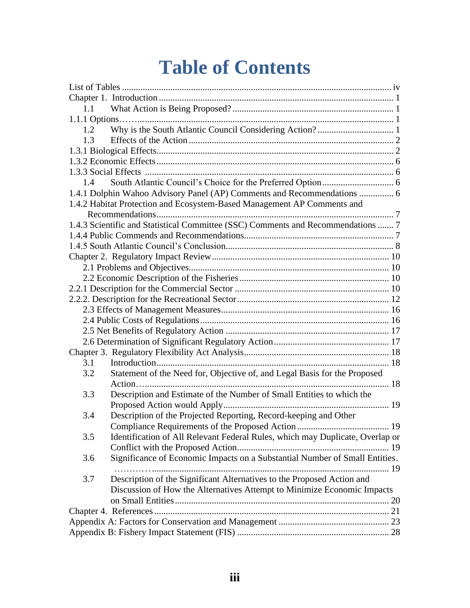## **Table of Contents**

| 1.1 |                                                                                  |
|-----|----------------------------------------------------------------------------------|
|     |                                                                                  |
|     |                                                                                  |
| 1.3 |                                                                                  |
|     |                                                                                  |
|     |                                                                                  |
|     |                                                                                  |
| 1.4 |                                                                                  |
|     | 1.4.1 Dolphin Wahoo Advisory Panel (AP) Comments and Recommendations  6          |
|     | 1.4.2 Habitat Protection and Ecosystem-Based Management AP Comments and          |
|     |                                                                                  |
|     | 1.4.3 Scientific and Statistical Committee (SSC) Comments and Recommendations  7 |
|     |                                                                                  |
|     |                                                                                  |
|     |                                                                                  |
|     |                                                                                  |
|     |                                                                                  |
|     |                                                                                  |
|     |                                                                                  |
|     |                                                                                  |
|     |                                                                                  |
|     |                                                                                  |
|     |                                                                                  |
|     |                                                                                  |
| 3.1 |                                                                                  |
| 3.2 | Statement of the Need for, Objective of, and Legal Basis for the Proposed        |
|     |                                                                                  |
| 3.3 | Description and Estimate of the Number of Small Entities to which the            |
|     |                                                                                  |
| 3.4 | Description of the Projected Reporting, Record-keeping and Other                 |
|     |                                                                                  |
| 3.5 | Identification of All Relevant Federal Rules, which may Duplicate, Overlap or    |
|     |                                                                                  |
| 3.6 | Significance of Economic Impacts on a Substantial Number of Small Entities.      |
|     |                                                                                  |
| 3.7 | Description of the Significant Alternatives to the Proposed Action and           |
|     | Discussion of How the Alternatives Attempt to Minimize Economic Impacts          |
|     |                                                                                  |
|     |                                                                                  |
|     |                                                                                  |
|     |                                                                                  |
|     |                                                                                  |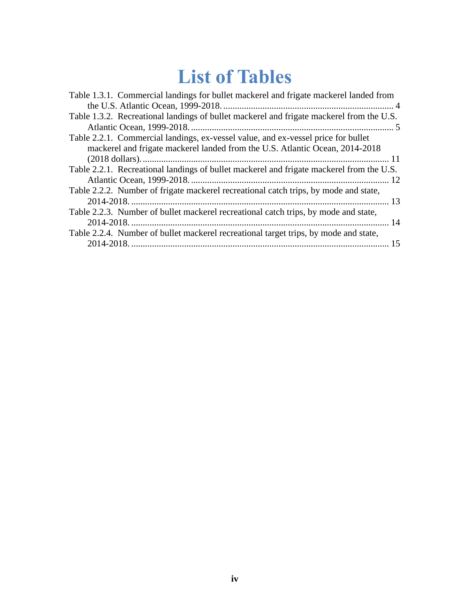## **List of Tables**

<span id="page-4-0"></span>

| Table 1.3.1. Commercial landings for bullet mackerel and frigate mackerel landed from    |  |
|------------------------------------------------------------------------------------------|--|
|                                                                                          |  |
| Table 1.3.2. Recreational landings of bullet mackerel and frigate mackerel from the U.S. |  |
|                                                                                          |  |
| Table 2.2.1. Commercial landings, ex-vessel value, and ex-vessel price for bullet        |  |
| mackerel and frigate mackerel landed from the U.S. Atlantic Ocean, 2014-2018             |  |
|                                                                                          |  |
| Table 2.2.1. Recreational landings of bullet mackerel and frigate mackerel from the U.S. |  |
| 12                                                                                       |  |
| Table 2.2.2. Number of frigate mackerel recreational catch trips, by mode and state,     |  |
|                                                                                          |  |
| Table 2.2.3. Number of bullet mackerel recreational catch trips, by mode and state,      |  |
|                                                                                          |  |
| Table 2.2.4. Number of bullet mackerel recreational target trips, by mode and state,     |  |
| 15                                                                                       |  |
|                                                                                          |  |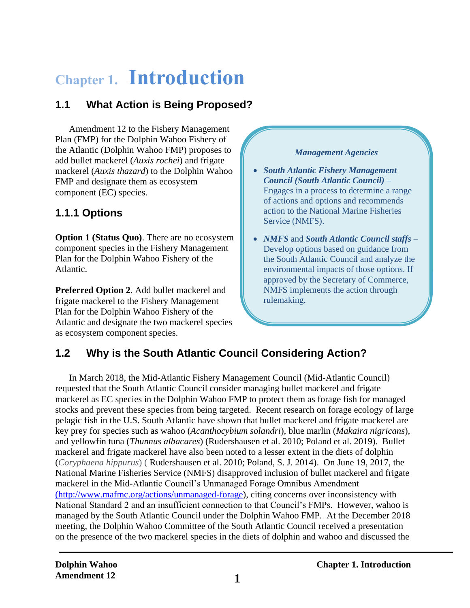## <span id="page-5-0"></span>**Chapter 1. Introduction**

## <span id="page-5-1"></span>**1.1 What Action is Being Proposed?**

Amendment 12 to the Fishery Management Plan (FMP) for the Dolphin Wahoo Fishery of the Atlantic (Dolphin Wahoo FMP) proposes to add bullet mackerel (*Auxis rochei*) and frigate mackerel (*Auxis thazard*) to the Dolphin Wahoo FMP and designate them as ecosystem component (EC) species.

## <span id="page-5-2"></span>**1.1.1 Options**

**Option 1 (Status Quo)**. There are no ecosystem component species in the Fishery Management Plan for the Dolphin Wahoo Fishery of the Atlantic.

**Preferred Option 2**. Add bullet mackerel and frigate mackerel to the Fishery Management Plan for the Dolphin Wahoo Fishery of the Atlantic and designate the two mackerel species as ecosystem component species.

#### *Management Agencies*

- **•** South Atlantic Fishery Management *Council (South Atlantic Council)* – Engages in a process to determine a range of actions and options and recommends • *National Marine Fisheries Service* and Service (NMFS). action to the National Marine Fisheries
- *NMFS* and *South Atlantic Council staffs* Develop options based on guidance from the South Atlantic Council and analyze the environmental impacts of those options. If approved by the Secretary of Commerce, NMFS implements the action through rulemaking.

## <span id="page-5-3"></span>**1.2 Why is the South Atlantic Council Considering Action?**

In March 2018, the Mid-Atlantic Fishery Management Council (Mid-Atlantic Council) requested that the South Atlantic Council consider managing bullet mackerel and frigate mackerel as EC species in the Dolphin Wahoo FMP to protect them as forage fish for managed stocks and prevent these species from being targeted. Recent research on forage ecology of large pelagic fish in the U.S. South Atlantic have shown that bullet mackerel and frigate mackerel are key prey for species such as wahoo (*Acanthocybium solandri*), blue marlin (*Makaira nigricans*), and yellowfin tuna (*Thunnus albacares*) (Rudershausen et al. 2010; Poland et al. 2019). Bullet mackerel and frigate mackerel have also been noted to a lesser extent in the diets of dolphin (*Coryphaena hippurus*) ( Rudershausen et al. 2010; Poland, S. J. 2014). On June 19, 2017, the National Marine Fisheries Service (NMFS) disapproved inclusion of bullet mackerel and frigate mackerel in the Mid-Atlantic Council's Unmanaged Forage Omnibus Amendment [\(http://www.mafmc.org/actions/unmanaged-forage\)](file:///C:/Users/nikhil.mehta/Documents/DW%20Am.%2012%20(EC%20species)/(http:/www.mafmc.org/actions/unmanaged-forage), citing concerns over inconsistency with National Standard 2 and an insufficient connection to that Council's FMPs. However, wahoo is managed by the South Atlantic Council under the Dolphin Wahoo FMP. At the December 2018 meeting, the Dolphin Wahoo Committee of the South Atlantic Council received a presentation on the presence of the two mackerel species in the diets of dolphin and wahoo and discussed the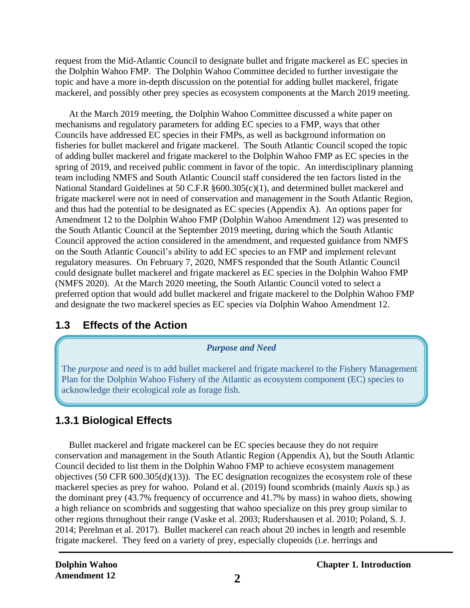request from the Mid-Atlantic Council to designate bullet and frigate mackerel as EC species in the Dolphin Wahoo FMP. The Dolphin Wahoo Committee decided to further investigate the topic and have a more in-depth discussion on the potential for adding bullet mackerel, frigate mackerel, and possibly other prey species as ecosystem components at the March 2019 meeting.

At the March 2019 meeting, the Dolphin Wahoo Committee discussed a white paper on mechanisms and regulatory parameters for adding EC species to a FMP, ways that other Councils have addressed EC species in their FMPs, as well as background information on fisheries for bullet mackerel and frigate mackerel. The South Atlantic Council scoped the topic of adding bullet mackerel and frigate mackerel to the Dolphin Wahoo FMP as EC species in the spring of 2019, and received public comment in favor of the topic. An interdisciplinary planning team including NMFS and South Atlantic Council staff considered the ten factors listed in the National Standard Guidelines at 50 C.F.R §600.305(c)(1), and determined bullet mackerel and frigate mackerel were not in need of conservation and management in the South Atlantic Region, and thus had the potential to be designated as EC species (Appendix A). An options paper for Amendment 12 to the Dolphin Wahoo FMP (Dolphin Wahoo Amendment 12) was presented to the South Atlantic Council at the September 2019 meeting, during which the South Atlantic Council approved the action considered in the amendment, and requested guidance from NMFS on the South Atlantic Council's ability to add EC species to an FMP and implement relevant regulatory measures. On February 7, 2020, NMFS responded that the South Atlantic Council could designate bullet mackerel and frigate mackerel as EC species in the Dolphin Wahoo FMP (NMFS 2020). At the March 2020 meeting, the South Atlantic Council voted to select a preferred option that would add bullet mackerel and frigate mackerel to the Dolphin Wahoo FMP and designate the two mackerel species as EC species via Dolphin Wahoo Amendment 12.

## <span id="page-6-0"></span>**1.3 Effects of the Action**

#### *Purpose and Need*

The *purpose* and *need* is to add bullet mackerel and frigate mackerel to the Fishery Management Plan for the Dolphin Wahoo Fishery of the Atlantic as ecosystem component (EC) species to acknowledge their ecological role as forage fish.

## <span id="page-6-1"></span>**1.3.1 Biological Effects**

Bullet mackerel and frigate mackerel can be EC species because they do not require conservation and management in the South Atlantic Region (Appendix A), but the South Atlantic Council decided to list them in the Dolphin Wahoo FMP to achieve ecosystem management objectives (50 CFR 600.305(d)(13)). The EC designation recognizes the ecosystem role of these mackerel species as prey for wahoo. Poland et al. (2019) found scombrids (mainly *Auxis* sp.) as the dominant prey (43.7% frequency of occurrence and 41.7% by mass) in wahoo diets, showing a high reliance on scombrids and suggesting that wahoo specialize on this prey group similar to other regions throughout their range (Vaske et al. 2003; Rudershausen et al. 2010; Poland, S. J. 2014; Perelman et al. 2017). Bullet mackerel can reach about 20 inches in length and resemble frigate mackerel. They feed on a variety of prey, especially clupeoids (i.e. herrings and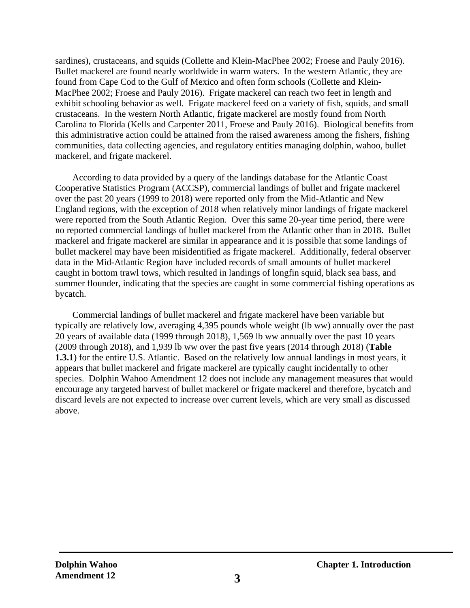sardines), crustaceans, and squids (Collette and Klein-MacPhee 2002; Froese and Pauly 2016). Bullet mackerel are found nearly worldwide in warm waters. In the western Atlantic, they are found from Cape Cod to the Gulf of Mexico and often form schools (Collette and Klein-MacPhee 2002; Froese and Pauly 2016). Frigate mackerel can reach two feet in length and exhibit schooling behavior as well. Frigate mackerel feed on a variety of fish, squids, and small crustaceans. In the western North Atlantic, frigate mackerel are mostly found from North Carolina to Florida (Kells and Carpenter 2011, Froese and Pauly 2016). Biological benefits from this administrative action could be attained from the raised awareness among the fishers, fishing communities, data collecting agencies, and regulatory entities managing dolphin, wahoo, bullet mackerel, and frigate mackerel.

According to data provided by a query of the landings database for the Atlantic Coast Cooperative Statistics Program (ACCSP), commercial landings of bullet and frigate mackerel over the past 20 years (1999 to 2018) were reported only from the Mid-Atlantic and New England regions, with the exception of 2018 when relatively minor landings of frigate mackerel were reported from the South Atlantic Region. Over this same 20-year time period, there were no reported commercial landings of bullet mackerel from the Atlantic other than in 2018. Bullet mackerel and frigate mackerel are similar in appearance and it is possible that some landings of bullet mackerel may have been misidentified as frigate mackerel. Additionally, federal observer data in the Mid-Atlantic Region have included records of small amounts of bullet mackerel caught in bottom trawl tows, which resulted in landings of longfin squid, black sea bass, and summer flounder, indicating that the species are caught in some commercial fishing operations as bycatch.

Commercial landings of bullet mackerel and frigate mackerel have been variable but typically are relatively low, averaging 4,395 pounds whole weight (lb ww) annually over the past 20 years of available data (1999 through 2018), 1,569 lb ww annually over the past 10 years (2009 through 2018), and 1,939 lb ww over the past five years (2014 through 2018) (**Table 1.3.1**) for the entire U.S. Atlantic. Based on the relatively low annual landings in most years, it appears that bullet mackerel and frigate mackerel are typically caught incidentally to other species. Dolphin Wahoo Amendment 12 does not include any management measures that would encourage any targeted harvest of bullet mackerel or frigate mackerel and therefore, bycatch and discard levels are not expected to increase over current levels, which are very small as discussed above.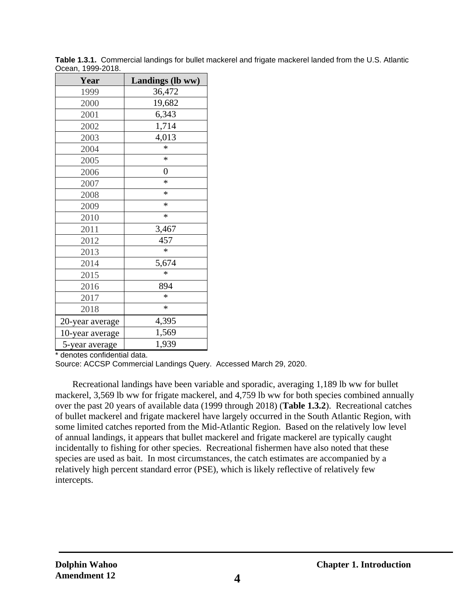| Year            | Landings (lb ww) |
|-----------------|------------------|
| 1999            | 36,472           |
| 2000            | 19,682           |
| 2001            | 6,343            |
| 2002            | 1,714            |
| 2003            | 4,013            |
| 2004            | $\ast$           |
| 2005            | *                |
| 2006            | $\overline{0}$   |
| 2007            | ∗                |
| 2008            | ∗                |
| 2009            | $\ast$           |
| 2010            | *                |
| 2011            | 3,467            |
| 2012            | 457              |
| 2013            | $\ast$           |
| 2014            | 5,674            |
| 2015            | $\ast$           |
| 2016            | 894              |
| 2017            | ∗                |
| 2018            | $\ast$           |
| 20-year average | 4,395            |
| 10-year average | 1,569            |
| 5-year average  | 1,939            |

<span id="page-8-0"></span>**Table 1.3.1.** Commercial landings for bullet mackerel and frigate mackerel landed from the U.S. Atlantic Ocean, 1999-2018.

\* denotes confidential data.

Source: ACCSP Commercial Landings Query. Accessed March 29, 2020.

Recreational landings have been variable and sporadic, averaging 1,189 lb ww for bullet mackerel, 3,569 lb ww for frigate mackerel, and 4,759 lb ww for both species combined annually over the past 20 years of available data (1999 through 2018) (**Table 1.3.2**). Recreational catches of bullet mackerel and frigate mackerel have largely occurred in the South Atlantic Region, with some limited catches reported from the Mid-Atlantic Region. Based on the relatively low level of annual landings, it appears that bullet mackerel and frigate mackerel are typically caught incidentally to fishing for other species. Recreational fishermen have also noted that these species are used as bait. In most circumstances, the catch estimates are accompanied by a relatively high percent standard error (PSE), which is likely reflective of relatively few intercepts.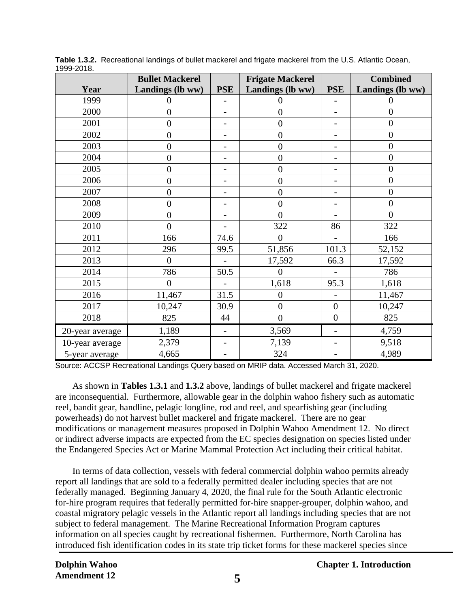| 1999-ZUTO.      | <b>Bullet Mackerel</b> |                          | <b>Frigate Mackerel</b> |                          | <b>Combined</b>  |
|-----------------|------------------------|--------------------------|-------------------------|--------------------------|------------------|
| Year            | Landings (lb ww)       | <b>PSE</b>               | Landings (lb ww)        | <b>PSE</b>               | Landings (lb ww) |
| 1999            | $\theta$               |                          | $\theta$                | $\overline{a}$           | $\overline{0}$   |
| 2000            | $\boldsymbol{0}$       |                          | $\boldsymbol{0}$        | $\overline{\phantom{0}}$ | $\overline{0}$   |
| 2001            | $\boldsymbol{0}$       | $\overline{\phantom{a}}$ | $\boldsymbol{0}$        | $\overline{a}$           | $\overline{0}$   |
| 2002            | $\overline{0}$         | $\overline{\phantom{a}}$ | $\boldsymbol{0}$        | $\overline{\phantom{0}}$ | $\overline{0}$   |
| 2003            | $\boldsymbol{0}$       | $\overline{\phantom{a}}$ | $\boldsymbol{0}$        | $\overline{\phantom{0}}$ | $\boldsymbol{0}$ |
| 2004            | $\overline{0}$         | $\overline{\phantom{a}}$ | $\overline{0}$          | $\overline{\phantom{0}}$ | $\overline{0}$   |
| 2005            | $\boldsymbol{0}$       | $\overline{\phantom{a}}$ | $\boldsymbol{0}$        | $\overline{a}$           | $\boldsymbol{0}$ |
| 2006            | $\overline{0}$         | $\overline{\phantom{a}}$ | $\overline{0}$          | $\overline{\phantom{a}}$ | $\overline{0}$   |
| 2007            | $\boldsymbol{0}$       | $\overline{\phantom{0}}$ | $\boldsymbol{0}$        | $\overline{\phantom{0}}$ | $\overline{0}$   |
| 2008            | $\boldsymbol{0}$       | $\qquad \qquad -$        | $\boldsymbol{0}$        | $\overline{\phantom{0}}$ | $\overline{0}$   |
| 2009            | $\overline{0}$         | $\overline{\phantom{0}}$ | $\overline{0}$          | $\overline{\phantom{0}}$ | $\overline{0}$   |
| 2010            | $\overline{0}$         | $\qquad \qquad -$        | 322                     | 86                       | 322              |
| 2011            | 166                    | 74.6                     | $\overline{0}$          |                          | 166              |
| 2012            | 296                    | 99.5                     | 51,856                  | 101.3                    | 52,152           |
| 2013            | $\overline{0}$         |                          | 17,592                  | 66.3                     | 17,592           |
| 2014            | 786                    | 50.5                     | $\overline{0}$          |                          | 786              |
| 2015            | $\overline{0}$         |                          | 1,618                   | 95.3                     | 1,618            |
| 2016            | 11,467                 | 31.5                     | $\overline{0}$          | $\overline{a}$           | 11,467           |
| 2017            | 10,247                 | 30.9                     | $\overline{0}$          | $\overline{0}$           | 10,247           |
| 2018            | 825                    | 44                       | $\overline{0}$          | $\overline{0}$           | 825              |
| 20-year average | 1,189                  | $\overline{\phantom{0}}$ | 3,569                   | $\overline{\phantom{0}}$ | 4,759            |
| 10-year average | 2,379                  | $\overline{\phantom{a}}$ | 7,139                   | $\overline{\phantom{a}}$ | 9,518            |
| 5-year average  | 4,665                  | $\overline{\phantom{a}}$ | 324                     | $\overline{\phantom{a}}$ | 4,989            |

<span id="page-9-0"></span>**Table 1.3.2.** Recreational landings of bullet mackerel and frigate mackerel from the U.S. Atlantic Ocean, 1999-2018.

Source: ACCSP Recreational Landings Query based on MRIP data. Accessed March 31, 2020.

As shown in **Tables 1.3.1** and **1.3.2** above, landings of bullet mackerel and frigate mackerel are inconsequential. Furthermore, allowable gear in the dolphin wahoo fishery such as automatic reel, bandit gear, handline, pelagic longline, rod and reel, and spearfishing gear (including powerheads) do not harvest bullet mackerel and frigate mackerel. There are no gear modifications or management measures proposed in Dolphin Wahoo Amendment 12. No direct or indirect adverse impacts are expected from the EC species designation on species listed under the Endangered Species Act or Marine Mammal Protection Act including their critical habitat.

In terms of data collection, vessels with federal commercial dolphin wahoo permits already report all landings that are sold to a federally permitted dealer including species that are not federally managed. Beginning January 4, 2020, the final rule for the South Atlantic electronic for-hire program requires that federally permitted for-hire snapper-grouper, dolphin wahoo, and coastal migratory pelagic vessels in the Atlantic report all landings including species that are not subject to federal management. The Marine Recreational Information Program captures information on all species caught by recreational fishermen. Furthermore, North Carolina has introduced fish identification codes in its state trip ticket forms for these mackerel species since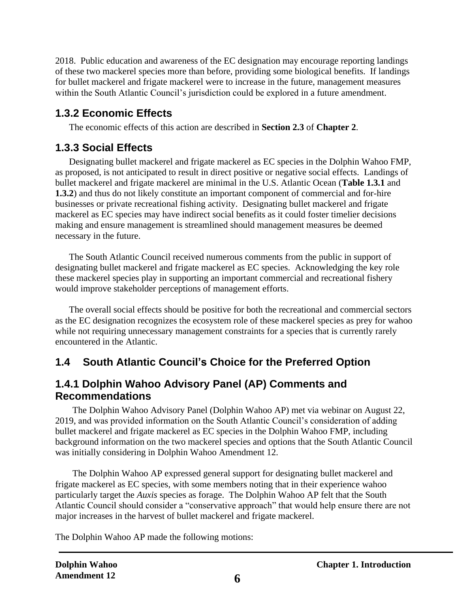2018. Public education and awareness of the EC designation may encourage reporting landings of these two mackerel species more than before, providing some biological benefits. If landings for bullet mackerel and frigate mackerel were to increase in the future, management measures within the South Atlantic Council's jurisdiction could be explored in a future amendment.

## <span id="page-10-0"></span>**1.3.2 Economic Effects**

The economic effects of this action are described in **Section 2.3** of **Chapter 2**.

## <span id="page-10-1"></span>**1.3.3 Social Effects**

Designating bullet mackerel and frigate mackerel as EC species in the Dolphin Wahoo FMP, as proposed, is not anticipated to result in direct positive or negative social effects. Landings of bullet mackerel and frigate mackerel are minimal in the U.S. Atlantic Ocean (**Table 1.3.1** and **1.3.2**) and thus do not likely constitute an important component of commercial and for-hire businesses or private recreational fishing activity. Designating bullet mackerel and frigate mackerel as EC species may have indirect social benefits as it could foster timelier decisions making and ensure management is streamlined should management measures be deemed necessary in the future.

The South Atlantic Council received numerous comments from the public in support of designating bullet mackerel and frigate mackerel as EC species. Acknowledging the key role these mackerel species play in supporting an important commercial and recreational fishery would improve stakeholder perceptions of management efforts.

The overall social effects should be positive for both the recreational and commercial sectors as the EC designation recognizes the ecosystem role of these mackerel species as prey for wahoo while not requiring unnecessary management constraints for a species that is currently rarely encountered in the Atlantic.

## <span id="page-10-2"></span>**1.4 South Atlantic Council's Choice for the Preferred Option**

### <span id="page-10-3"></span>**1.4.1 Dolphin Wahoo Advisory Panel (AP) Comments and Recommendations**

The Dolphin Wahoo Advisory Panel (Dolphin Wahoo AP) met via webinar on August 22, 2019, and was provided information on the South Atlantic Council's consideration of adding bullet mackerel and frigate mackerel as EC species in the Dolphin Wahoo FMP, including background information on the two mackerel species and options that the South Atlantic Council was initially considering in Dolphin Wahoo Amendment 12.

The Dolphin Wahoo AP expressed general support for designating bullet mackerel and frigate mackerel as EC species, with some members noting that in their experience wahoo particularly target the *Auxis* species as forage. The Dolphin Wahoo AP felt that the South Atlantic Council should consider a "conservative approach" that would help ensure there are not major increases in the harvest of bullet mackerel and frigate mackerel.

The Dolphin Wahoo AP made the following motions: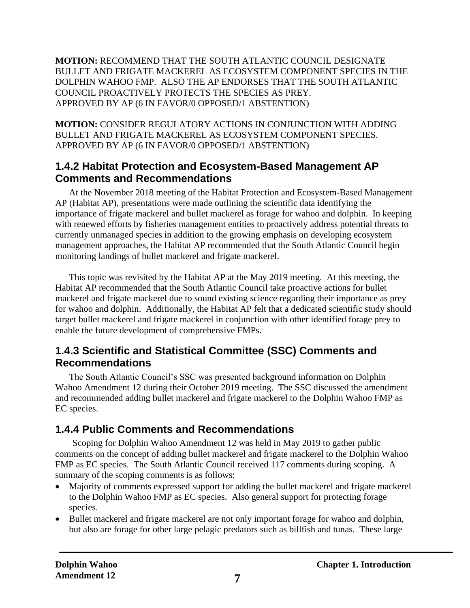**MOTION:** RECOMMEND THAT THE SOUTH ATLANTIC COUNCIL DESIGNATE BULLET AND FRIGATE MACKEREL AS ECOSYSTEM COMPONENT SPECIES IN THE DOLPHIN WAHOO FMP. ALSO THE AP ENDORSES THAT THE SOUTH ATLANTIC COUNCIL PROACTIVELY PROTECTS THE SPECIES AS PREY. APPROVED BY AP (6 IN FAVOR/0 OPPOSED/1 ABSTENTION)

**MOTION:** CONSIDER REGULATORY ACTIONS IN CONJUNCTION WITH ADDING BULLET AND FRIGATE MACKEREL AS ECOSYSTEM COMPONENT SPECIES. APPROVED BY AP (6 IN FAVOR/0 OPPOSED/1 ABSTENTION)

### <span id="page-11-0"></span>**1.4.2 Habitat Protection and Ecosystem-Based Management AP Comments and Recommendations**

At the November 2018 meeting of the Habitat Protection and Ecosystem-Based Management AP (Habitat AP), presentations were made outlining the scientific data identifying the importance of frigate mackerel and bullet mackerel as forage for wahoo and dolphin. In keeping with renewed efforts by fisheries management entities to proactively address potential threats to currently unmanaged species in addition to the growing emphasis on developing ecosystem management approaches, the Habitat AP recommended that the South Atlantic Council begin monitoring landings of bullet mackerel and frigate mackerel.

This topic was revisited by the Habitat AP at the May 2019 meeting. At this meeting, the Habitat AP recommended that the South Atlantic Council take proactive actions for bullet mackerel and frigate mackerel due to sound existing science regarding their importance as prey for wahoo and dolphin. Additionally, the Habitat AP felt that a dedicated scientific study should target bullet mackerel and frigate mackerel in conjunction with other identified forage prey to enable the future development of comprehensive FMPs.

#### <span id="page-11-1"></span>**1.4.3 Scientific and Statistical Committee (SSC) Comments and Recommendations**

The South Atlantic Council's SSC was presented background information on Dolphin Wahoo Amendment 12 during their October 2019 meeting. The SSC discussed the amendment and recommended adding bullet mackerel and frigate mackerel to the Dolphin Wahoo FMP as EC species.

## <span id="page-11-2"></span>**1.4.4 Public Comments and Recommendations**

Scoping for Dolphin Wahoo Amendment 12 was held in May 2019 to gather public comments on the concept of adding bullet mackerel and frigate mackerel to the Dolphin Wahoo FMP as EC species. The South Atlantic Council received 117 comments during scoping. A summary of the scoping comments is as follows:

- Majority of comments expressed support for adding the bullet mackerel and frigate mackerel to the Dolphin Wahoo FMP as EC species. Also general support for protecting forage species.
- Bullet mackerel and frigate mackerel are not only important forage for wahoo and dolphin, but also are forage for other large pelagic predators such as billfish and tunas. These large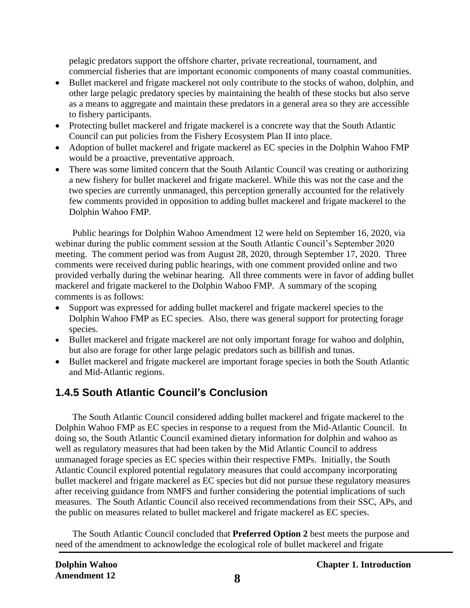pelagic predators support the offshore charter, private recreational, tournament, and commercial fisheries that are important economic components of many coastal communities.

- Bullet mackerel and frigate mackerel not only contribute to the stocks of wahoo, dolphin, and other large pelagic predatory species by maintaining the health of these stocks but also serve as a means to aggregate and maintain these predators in a general area so they are accessible to fishery participants.
- Protecting bullet mackerel and frigate mackerel is a concrete way that the South Atlantic Council can put policies from the Fishery Ecosystem Plan II into place.
- Adoption of bullet mackerel and frigate mackerel as EC species in the Dolphin Wahoo FMP would be a proactive, preventative approach.
- There was some limited concern that the South Atlantic Council was creating or authorizing a new fishery for bullet mackerel and frigate mackerel. While this was not the case and the two species are currently unmanaged, this perception generally accounted for the relatively few comments provided in opposition to adding bullet mackerel and frigate mackerel to the Dolphin Wahoo FMP.

Public hearings for Dolphin Wahoo Amendment 12 were held on September 16, 2020, via webinar during the public comment session at the South Atlantic Council's September 2020 meeting. The comment period was from August 28, 2020, through September 17, 2020. Three comments were received during public hearings, with one comment provided online and two provided verbally during the webinar hearing. All three comments were in favor of adding bullet mackerel and frigate mackerel to the Dolphin Wahoo FMP. A summary of the scoping comments is as follows:

- Support was expressed for adding bullet mackerel and frigate mackerel species to the Dolphin Wahoo FMP as EC species. Also, there was general support for protecting forage species.
- Bullet mackerel and frigate mackerel are not only important forage for wahoo and dolphin, but also are forage for other large pelagic predators such as billfish and tunas.
- Bullet mackerel and frigate mackerel are important forage species in both the South Atlantic and Mid-Atlantic regions.

## <span id="page-12-0"></span>**1.4.5 South Atlantic Council's Conclusion**

The South Atlantic Council considered adding bullet mackerel and frigate mackerel to the Dolphin Wahoo FMP as EC species in response to a request from the Mid-Atlantic Council. In doing so, the South Atlantic Council examined dietary information for dolphin and wahoo as well as regulatory measures that had been taken by the Mid Atlantic Council to address unmanaged forage species as EC species within their respective FMPs. Initially, the South Atlantic Council explored potential regulatory measures that could accompany incorporating bullet mackerel and frigate mackerel as EC species but did not pursue these regulatory measures after receiving guidance from NMFS and further considering the potential implications of such measures. The South Atlantic Council also received recommendations from their SSC, APs, and the public on measures related to bullet mackerel and frigate mackerel as EC species.

The South Atlantic Council concluded that **Preferred Option 2** best meets the purpose and need of the amendment to acknowledge the ecological role of bullet mackerel and frigate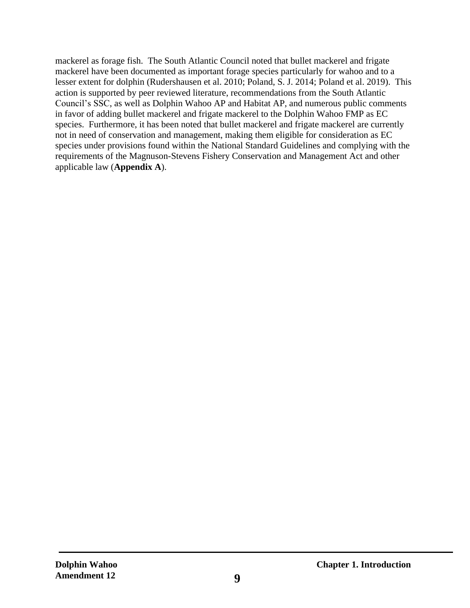mackerel as forage fish. The South Atlantic Council noted that bullet mackerel and frigate mackerel have been documented as important forage species particularly for wahoo and to a lesser extent for dolphin (Rudershausen et al. 2010; Poland, S. J. 2014; Poland et al. 2019). This action is supported by peer reviewed literature, recommendations from the South Atlantic Council's SSC, as well as Dolphin Wahoo AP and Habitat AP, and numerous public comments in favor of adding bullet mackerel and frigate mackerel to the Dolphin Wahoo FMP as EC species. Furthermore, it has been noted that bullet mackerel and frigate mackerel are currently not in need of conservation and management, making them eligible for consideration as EC species under provisions found within the National Standard Guidelines and complying with the requirements of the Magnuson-Stevens Fishery Conservation and Management Act and other applicable law (**Appendix A**).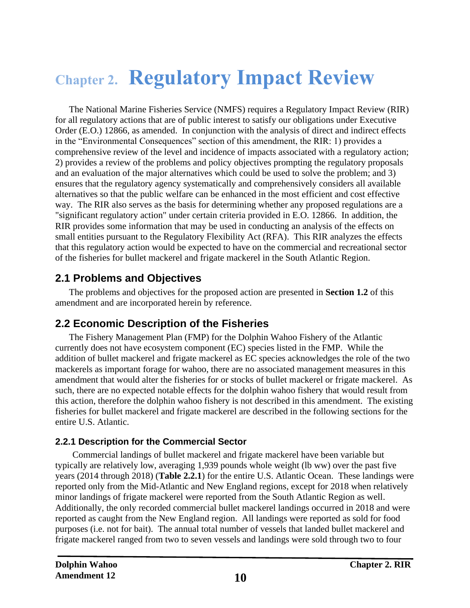# <span id="page-14-0"></span>**Chapter 2. Regulatory Impact Review**

The National Marine Fisheries Service (NMFS) requires a Regulatory Impact Review (RIR) for all regulatory actions that are of public interest to satisfy our obligations under Executive Order (E.O.) 12866, as amended. In conjunction with the analysis of direct and indirect effects in the "Environmental Consequences" section of this amendment, the RIR: 1) provides a comprehensive review of the level and incidence of impacts associated with a regulatory action; 2) provides a review of the problems and policy objectives prompting the regulatory proposals and an evaluation of the major alternatives which could be used to solve the problem; and 3) ensures that the regulatory agency systematically and comprehensively considers all available alternatives so that the public welfare can be enhanced in the most efficient and cost effective way. The RIR also serves as the basis for determining whether any proposed regulations are a "significant regulatory action" under certain criteria provided in E.O. 12866. In addition, the RIR provides some information that may be used in conducting an analysis of the effects on small entities pursuant to the Regulatory Flexibility Act (RFA). This RIR analyzes the effects that this regulatory action would be expected to have on the commercial and recreational sector of the fisheries for bullet mackerel and frigate mackerel in the South Atlantic Region.

### <span id="page-14-1"></span>**2.1 Problems and Objectives**

The problems and objectives for the proposed action are presented in **Section 1.2** of this amendment and are incorporated herein by reference.

## <span id="page-14-2"></span>**2.2 Economic Description of the Fisheries**

The Fishery Management Plan (FMP) for the Dolphin Wahoo Fishery of the Atlantic currently does not have ecosystem component (EC) species listed in the FMP. While the addition of bullet mackerel and frigate mackerel as EC species acknowledges the role of the two mackerels as important forage for wahoo, there are no associated management measures in this amendment that would alter the fisheries for or stocks of bullet mackerel or frigate mackerel. As such, there are no expected notable effects for the dolphin wahoo fishery that would result from this action, therefore the dolphin wahoo fishery is not described in this amendment. The existing fisheries for bullet mackerel and frigate mackerel are described in the following sections for the entire U.S. Atlantic.

#### <span id="page-14-3"></span>**2.2.1 Description for the Commercial Sector**

Commercial landings of bullet mackerel and frigate mackerel have been variable but typically are relatively low, averaging 1,939 pounds whole weight (lb ww) over the past five years (2014 through 2018) (**Table 2.2.1**) for the entire U.S. Atlantic Ocean. These landings were reported only from the Mid-Atlantic and New England regions, except for 2018 when relatively minor landings of frigate mackerel were reported from the South Atlantic Region as well. Additionally, the only recorded commercial bullet mackerel landings occurred in 2018 and were reported as caught from the New England region. All landings were reported as sold for food purposes (i.e. not for bait). The annual total number of vessels that landed bullet mackerel and frigate mackerel ranged from two to seven vessels and landings were sold through two to four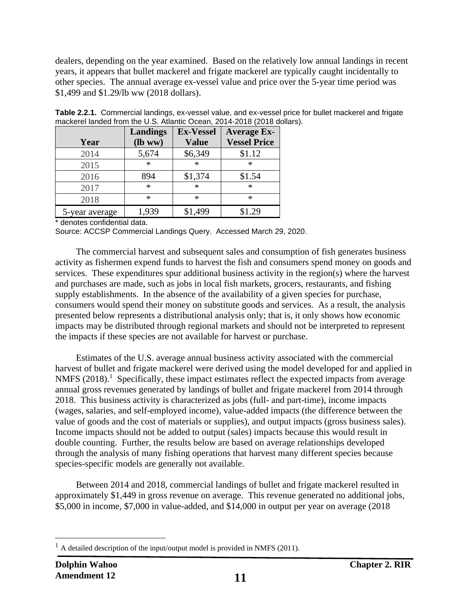dealers, depending on the year examined. Based on the relatively low annual landings in recent years, it appears that bullet mackerel and frigate mackerel are typically caught incidentally to other species. The annual average ex-vessel value and price over the 5-year time period was \$1,499 and \$1.29/lb ww (2018 dollars).

| Year           | Landings<br>$(lb ww)$ | <b>Ex-Vessel</b><br><b>Value</b> | <b>Average Ex-</b><br><b>Vessel Price</b> |
|----------------|-----------------------|----------------------------------|-------------------------------------------|
| 2014           | 5,674                 | \$6,349                          | \$1.12                                    |
| 2015           | $\ast$                | $\ast$                           | ∗                                         |
| 2016           | 894                   | \$1,374                          | \$1.54                                    |
| 2017           | $\ast$                | $\ast$                           | $\ast$                                    |
| 2018           | $\ast$                | $\ast$                           | ∗                                         |
| 5-year average | 1,939                 | \$1,499                          | \$1.29                                    |

<span id="page-15-0"></span>**Table 2.2.1.** Commercial landings, ex-vessel value, and ex-vessel price for bullet mackerel and frigate mackerel landed from the U.S. Atlantic Ocean, 2014-2018 (2018 dollars).

\* denotes confidential data.

Source: ACCSP Commercial Landings Query. Accessed March 29, 2020.

The commercial harvest and subsequent sales and consumption of fish generates business activity as fishermen expend funds to harvest the fish and consumers spend money on goods and services. These expenditures spur additional business activity in the region(s) where the harvest and purchases are made, such as jobs in local fish markets, grocers, restaurants, and fishing supply establishments. In the absence of the availability of a given species for purchase, consumers would spend their money on substitute goods and services. As a result, the analysis presented below represents a distributional analysis only; that is, it only shows how economic impacts may be distributed through regional markets and should not be interpreted to represent the impacts if these species are not available for harvest or purchase.

Estimates of the U.S. average annual business activity associated with the commercial harvest of bullet and frigate mackerel were derived using the model developed for and applied in NMFS  $(2018).$ <sup>1</sup> Specifically, these impact estimates reflect the expected impacts from average annual gross revenues generated by landings of bullet and frigate mackerel from 2014 through 2018. This business activity is characterized as jobs (full- and part-time), income impacts (wages, salaries, and self-employed income), value-added impacts (the difference between the value of goods and the cost of materials or supplies), and output impacts (gross business sales). Income impacts should not be added to output (sales) impacts because this would result in double counting. Further, the results below are based on average relationships developed through the analysis of many fishing operations that harvest many different species because species-specific models are generally not available.

Between 2014 and 2018, commercial landings of bullet and frigate mackerel resulted in approximately \$1,449 in gross revenue on average. This revenue generated no additional jobs, \$5,000 in income, \$7,000 in value-added, and \$14,000 in output per year on average (2018

 $<sup>1</sup>$  A detailed description of the input/output model is provided in NMFS (2011).</sup>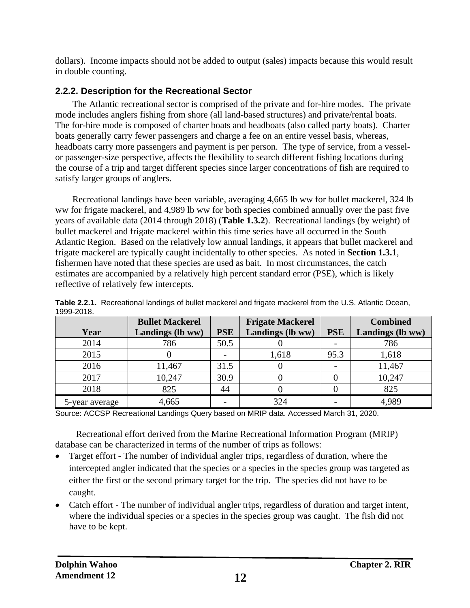dollars). Income impacts should not be added to output (sales) impacts because this would result in double counting.

#### <span id="page-16-0"></span>**2.2.2. Description for the Recreational Sector**

The Atlantic recreational sector is comprised of the private and for-hire modes. The private mode includes anglers fishing from shore (all land-based structures) and private/rental boats. The for-hire mode is composed of charter boats and headboats (also called party boats). Charter boats generally carry fewer passengers and charge a fee on an entire vessel basis, whereas, headboats carry more passengers and payment is per person. The type of service, from a vesselor passenger-size perspective, affects the flexibility to search different fishing locations during the course of a trip and target different species since larger concentrations of fish are required to satisfy larger groups of anglers.

Recreational landings have been variable, averaging 4,665 lb ww for bullet mackerel, 324 lb ww for frigate mackerel, and 4,989 lb ww for both species combined annually over the past five years of available data (2014 through 2018) (**Table 1.3.2**). Recreational landings (by weight) of bullet mackerel and frigate mackerel within this time series have all occurred in the South Atlantic Region. Based on the relatively low annual landings, it appears that bullet mackerel and frigate mackerel are typically caught incidentally to other species. As noted in **Section 1.3.1**, fishermen have noted that these species are used as bait. In most circumstances, the catch estimates are accompanied by a relatively high percent standard error (PSE), which is likely reflective of relatively few intercepts.

|                | <b>Bullet Mackerel</b> |            | <b>Frigate Mackerel</b> |            | <b>Combined</b>  |
|----------------|------------------------|------------|-------------------------|------------|------------------|
| Year           | Landings (lb ww)       | <b>PSE</b> | Landings (lb ww)        | <b>PSE</b> | Landings (lb ww) |
| 2014           | 786                    | 50.5       |                         |            | 786              |
| 2015           |                        |            | 1,618                   | 95.3       | 1,618            |
| 2016           | 11,467                 | 31.5       |                         |            | 11,467           |
| 2017           | 10,247                 | 30.9       | U                       |            | 10,247           |
| 2018           | 825                    | 44         |                         |            | 825              |
| 5-year average | 4,665                  |            | 324                     |            | 4,989            |

<span id="page-16-1"></span>**Table 2.2.1.** Recreational landings of bullet mackerel and frigate mackerel from the U.S. Atlantic Ocean, 1999-2018.

Source: ACCSP Recreational Landings Query based on MRIP data. Accessed March 31, 2020.

Recreational effort derived from the Marine Recreational Information Program (MRIP) database can be characterized in terms of the number of trips as follows:

- Target effort The number of individual angler trips, regardless of duration, where the intercepted angler indicated that the species or a species in the species group was targeted as either the first or the second primary target for the trip. The species did not have to be caught.
- Catch effort The number of individual angler trips, regardless of duration and target intent, where the individual species or a species in the species group was caught. The fish did not have to be kept.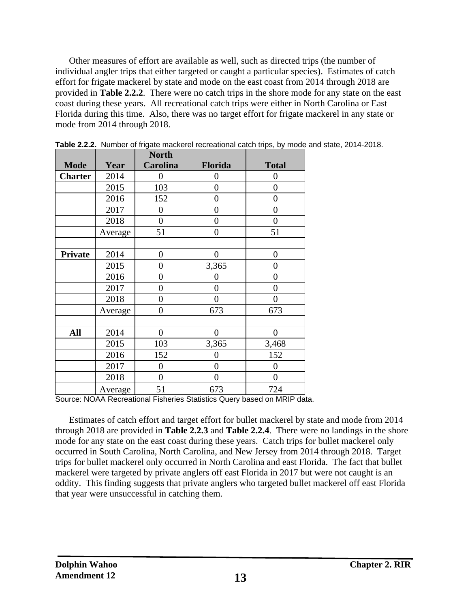Other measures of effort are available as well, such as directed trips (the number of individual angler trips that either targeted or caught a particular species). Estimates of catch effort for frigate mackerel by state and mode on the east coast from 2014 through 2018 are provided in **Table 2.2.2**. There were no catch trips in the shore mode for any state on the east coast during these years. All recreational catch trips were either in North Carolina or East Florida during this time. Also, there was no target effort for frigate mackerel in any state or mode from 2014 through 2018.

|                |         | <b>North</b>     |                  |                  |
|----------------|---------|------------------|------------------|------------------|
| <b>Mode</b>    | Year    | Carolina         | Florida          | <b>Total</b>     |
| <b>Charter</b> | 2014    | $\boldsymbol{0}$ | $\overline{0}$   | 0                |
|                | 2015    | 103              | $\boldsymbol{0}$ | $\overline{0}$   |
|                | 2016    | 152              | $\boldsymbol{0}$ | $\overline{0}$   |
|                | 2017    | $\boldsymbol{0}$ | $\overline{0}$   | $\overline{0}$   |
|                | 2018    | $\boldsymbol{0}$ | $\overline{0}$   | $\overline{0}$   |
|                | Average | 51               | $\overline{0}$   | 51               |
|                |         |                  |                  |                  |
| <b>Private</b> | 2014    | $\boldsymbol{0}$ | $\overline{0}$   | $\boldsymbol{0}$ |
|                | 2015    | $\overline{0}$   | 3,365            | $\overline{0}$   |
|                | 2016    | $\overline{0}$   | 0                | $\overline{0}$   |
|                | 2017    | $\boldsymbol{0}$ | $\overline{0}$   | $\overline{0}$   |
|                | 2018    | $\boldsymbol{0}$ | $\overline{0}$   | $\overline{0}$   |
|                | Average | $\overline{0}$   | 673              | 673              |
|                |         |                  |                  |                  |
| <b>All</b>     | 2014    | $\overline{0}$   | $\overline{0}$   | $\overline{0}$   |
|                | 2015    | 103              | 3,365            | 3,468            |
|                | 2016    | 152              | $\overline{0}$   | 152              |
|                | 2017    | $\boldsymbol{0}$ | $\boldsymbol{0}$ | $\boldsymbol{0}$ |
|                | 2018    | $\overline{0}$   | $\overline{0}$   | $\overline{0}$   |
|                | Average | 51               | 673              | 724              |

<span id="page-17-0"></span>**Table 2.2.2.** Number of frigate mackerel recreational catch trips, by mode and state, 2014-2018.

Source: NOAA Recreational Fisheries Statistics Query based on MRIP data.

Estimates of catch effort and target effort for bullet mackerel by state and mode from 2014 through 2018 are provided in **Table 2.2.3** and **Table 2.2.4**. There were no landings in the shore mode for any state on the east coast during these years. Catch trips for bullet mackerel only occurred in South Carolina, North Carolina, and New Jersey from 2014 through 2018. Target trips for bullet mackerel only occurred in North Carolina and east Florida. The fact that bullet mackerel were targeted by private anglers off east Florida in 2017 but were not caught is an oddity. This finding suggests that private anglers who targeted bullet mackerel off east Florida that year were unsuccessful in catching them.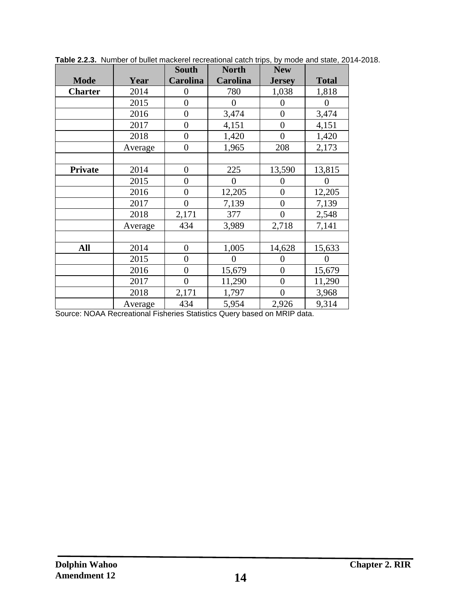|                |         | <b>South</b>     | <b>North</b>    | <b>New</b>     |                |
|----------------|---------|------------------|-----------------|----------------|----------------|
| <b>Mode</b>    | Year    | <b>Carolina</b>  | <b>Carolina</b> | <b>Jersey</b>  | <b>Total</b>   |
| <b>Charter</b> | 2014    | 0                | 780             | 1,038          | 1,818          |
|                | 2015    | $\overline{0}$   | $\overline{0}$  | 0              | $\overline{0}$ |
|                | 2016    | $\overline{0}$   | 3,474           | $\overline{0}$ | 3,474          |
|                | 2017    | $\overline{0}$   | 4,151           | $\overline{0}$ | 4,151          |
|                | 2018    | $\overline{0}$   | 1,420           | $\overline{0}$ | 1,420          |
|                | Average | $\overline{0}$   | 1,965           | 208            | 2,173          |
|                |         |                  |                 |                |                |
| Private        | 2014    | $\overline{0}$   | 225             | 13,590         | 13,815         |
|                | 2015    | $\boldsymbol{0}$ | 0               | 0              | 0              |
|                | 2016    | $\overline{0}$   | 12,205          | $\overline{0}$ | 12,205         |
|                | 2017    | $\overline{0}$   | 7,139           | $\overline{0}$ | 7,139          |
|                | 2018    | 2,171            | 377             | $\overline{0}$ | 2,548          |
|                | Average | 434              | 3,989           | 2,718          | 7,141          |
|                |         |                  |                 |                |                |
| All            | 2014    | $\overline{0}$   | 1,005           | 14,628         | 15,633         |
|                | 2015    | $\boldsymbol{0}$ | 0               | 0              | $\theta$       |
|                | 2016    | $\theta$         | 15,679          | $\overline{0}$ | 15,679         |
|                | 2017    | $\overline{0}$   | 11,290          | $\overline{0}$ | 11,290         |
|                | 2018    | 2,171            | 1,797           | $\overline{0}$ | 3,968          |
|                | Average | 434              | 5,954           | 2,926          | 9,314          |

<span id="page-18-0"></span>**Table 2.2.3.** Number of bullet mackerel recreational catch trips, by mode and state, 2014-2018.

Source: NOAA Recreational Fisheries Statistics Query based on MRIP data.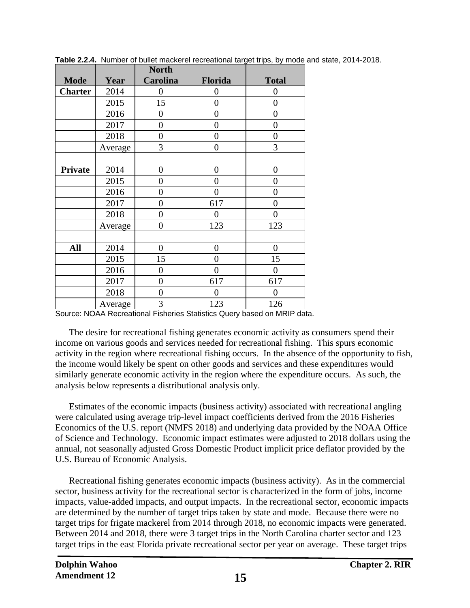|                |         | <b>North</b>     |                  |                  |
|----------------|---------|------------------|------------------|------------------|
| <b>Mode</b>    | Year    | Carolina         | Florida          | <b>Total</b>     |
| <b>Charter</b> | 2014    | $\overline{0}$   | 0                | $\boldsymbol{0}$ |
|                | 2015    | 15               | $\overline{0}$   | $\overline{0}$   |
|                | 2016    | $\boldsymbol{0}$ | $\overline{0}$   | $\boldsymbol{0}$ |
|                | 2017    | $\boldsymbol{0}$ | $\overline{0}$   | $\boldsymbol{0}$ |
|                | 2018    | $\overline{0}$   | $\overline{0}$   | $\boldsymbol{0}$ |
|                | Average | 3                | $\overline{0}$   | 3                |
|                |         |                  |                  |                  |
| <b>Private</b> | 2014    | $\boldsymbol{0}$ | $\boldsymbol{0}$ | $\boldsymbol{0}$ |
|                | 2015    | 0                | $\overline{0}$   | 0                |
|                | 2016    | $\overline{0}$   | $\overline{0}$   | $\overline{0}$   |
|                | 2017    | $\overline{0}$   | 617              | $\overline{0}$   |
|                | 2018    | $\overline{0}$   | $\overline{0}$   | $\overline{0}$   |
|                | Average | $\overline{0}$   | 123              | 123              |
|                |         |                  |                  |                  |
| All            | 2014    | $\overline{0}$   | $\overline{0}$   | $\boldsymbol{0}$ |
|                | 2015    | 15               | $\overline{0}$   | 15               |
|                | 2016    | $\overline{0}$   | $\overline{0}$   | $\boldsymbol{0}$ |
|                | 2017    | $\overline{0}$   | 617              | 617              |
|                | 2018    | $\overline{0}$   | $\boldsymbol{0}$ | $\overline{0}$   |
|                | Average | 3                | 123              | 126              |

<span id="page-19-0"></span>**Table 2.2.4.** Number of bullet mackerel recreational target trips, by mode and state, 2014-2018.

The desire for recreational fishing generates economic activity as consumers spend their income on various goods and services needed for recreational fishing. This spurs economic activity in the region where recreational fishing occurs. In the absence of the opportunity to fish, the income would likely be spent on other goods and services and these expenditures would similarly generate economic activity in the region where the expenditure occurs. As such, the analysis below represents a distributional analysis only.

Estimates of the economic impacts (business activity) associated with recreational angling were calculated using average trip-level impact coefficients derived from the 2016 Fisheries Economics of the U.S. report (NMFS 2018) and underlying data provided by the NOAA Office of Science and Technology. Economic impact estimates were adjusted to 2018 dollars using the annual, not seasonally adjusted Gross Domestic Product implicit price deflator provided by the U.S. Bureau of Economic Analysis.

Recreational fishing generates economic impacts (business activity). As in the commercial sector, business activity for the recreational sector is characterized in the form of jobs, income impacts, value-added impacts, and output impacts. In the recreational sector, economic impacts are determined by the number of target trips taken by state and mode. Because there were no target trips for frigate mackerel from 2014 through 2018, no economic impacts were generated. Between 2014 and 2018, there were 3 target trips in the North Carolina charter sector and 123 target trips in the east Florida private recreational sector per year on average. These target trips

Source: NOAA Recreational Fisheries Statistics Query based on MRIP data.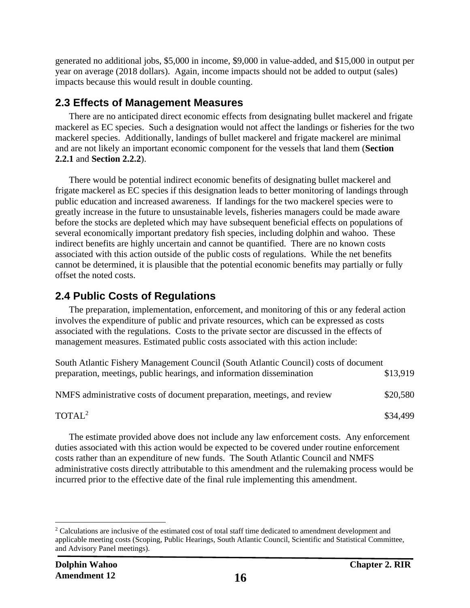generated no additional jobs, \$5,000 in income, \$9,000 in value-added, and \$15,000 in output per year on average (2018 dollars). Again, income impacts should not be added to output (sales) impacts because this would result in double counting.

### <span id="page-20-0"></span>**2.3 Effects of Management Measures**

There are no anticipated direct economic effects from designating bullet mackerel and frigate mackerel as EC species. Such a designation would not affect the landings or fisheries for the two mackerel species. Additionally, landings of bullet mackerel and frigate mackerel are minimal and are not likely an important economic component for the vessels that land them (**Section 2.2.1** and **Section 2.2.2**).

There would be potential indirect economic benefits of designating bullet mackerel and frigate mackerel as EC species if this designation leads to better monitoring of landings through public education and increased awareness. If landings for the two mackerel species were to greatly increase in the future to unsustainable levels, fisheries managers could be made aware before the stocks are depleted which may have subsequent beneficial effects on populations of several economically important predatory fish species, including dolphin and wahoo. These indirect benefits are highly uncertain and cannot be quantified. There are no known costs associated with this action outside of the public costs of regulations. While the net benefits cannot be determined, it is plausible that the potential economic benefits may partially or fully offset the noted costs.

## <span id="page-20-1"></span>**2.4 Public Costs of Regulations**

The preparation, implementation, enforcement, and monitoring of this or any federal action involves the expenditure of public and private resources, which can be expressed as costs associated with the regulations. Costs to the private sector are discussed in the effects of management measures. Estimated public costs associated with this action include:

| South Atlantic Fishery Management Council (South Atlantic Council) costs of document |          |
|--------------------------------------------------------------------------------------|----------|
| preparation, meetings, public hearings, and information dissemination                | \$13,919 |
| NMFS administrative costs of document preparation, meetings, and review              | \$20,580 |
| TOTAL <sup>2</sup>                                                                   | \$34,499 |

The estimate provided above does not include any law enforcement costs. Any enforcement duties associated with this action would be expected to be covered under routine enforcement costs rather than an expenditure of new funds. The South Atlantic Council and NMFS administrative costs directly attributable to this amendment and the rulemaking process would be incurred prior to the effective date of the final rule implementing this amendment.

<sup>2</sup> Calculations are inclusive of the estimated cost of total staff time dedicated to amendment development and applicable meeting costs (Scoping, Public Hearings, South Atlantic Council, Scientific and Statistical Committee, and Advisory Panel meetings).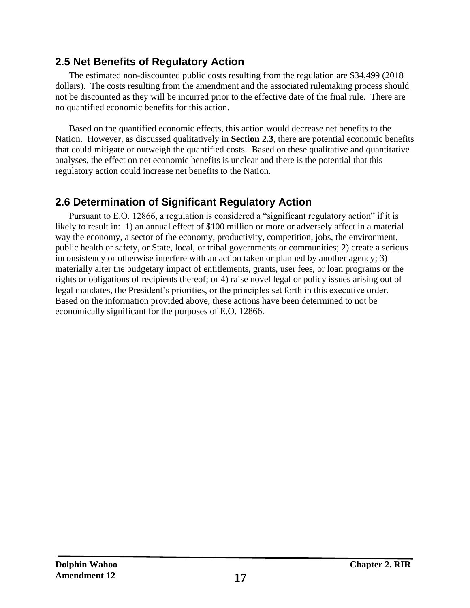### <span id="page-21-0"></span>**2.5 Net Benefits of Regulatory Action**

The estimated non-discounted public costs resulting from the regulation are \$34,499 (2018 dollars). The costs resulting from the amendment and the associated rulemaking process should not be discounted as they will be incurred prior to the effective date of the final rule. There are no quantified economic benefits for this action.

Based on the quantified economic effects, this action would decrease net benefits to the Nation. However, as discussed qualitatively in **Section 2.3**, there are potential economic benefits that could mitigate or outweigh the quantified costs. Based on these qualitative and quantitative analyses, the effect on net economic benefits is unclear and there is the potential that this regulatory action could increase net benefits to the Nation.

## <span id="page-21-1"></span>**2.6 Determination of Significant Regulatory Action**

Pursuant to E.O. 12866, a regulation is considered a "significant regulatory action" if it is likely to result in: 1) an annual effect of \$100 million or more or adversely affect in a material way the economy, a sector of the economy, productivity, competition, jobs, the environment, public health or safety, or State, local, or tribal governments or communities; 2) create a serious inconsistency or otherwise interfere with an action taken or planned by another agency; 3) materially alter the budgetary impact of entitlements, grants, user fees, or loan programs or the rights or obligations of recipients thereof; or 4) raise novel legal or policy issues arising out of legal mandates, the President's priorities, or the principles set forth in this executive order. Based on the information provided above, these actions have been determined to not be economically significant for the purposes of E.O. 12866.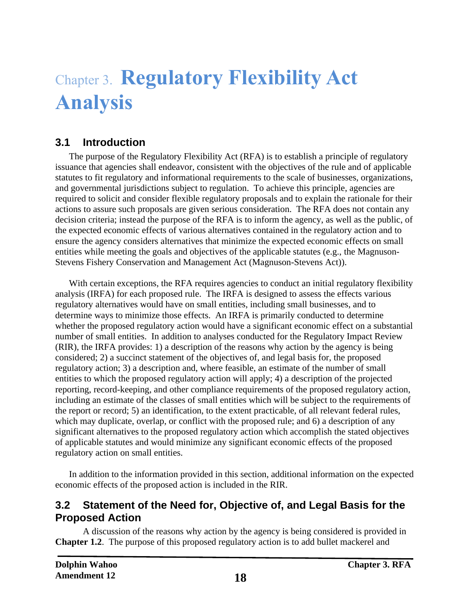# <span id="page-22-0"></span>Chapter 3. **Regulatory Flexibility Act Analysis**

### <span id="page-22-1"></span>**3.1 Introduction**

The purpose of the Regulatory Flexibility Act (RFA) is to establish a principle of regulatory issuance that agencies shall endeavor, consistent with the objectives of the rule and of applicable statutes to fit regulatory and informational requirements to the scale of businesses, organizations, and governmental jurisdictions subject to regulation. To achieve this principle, agencies are required to solicit and consider flexible regulatory proposals and to explain the rationale for their actions to assure such proposals are given serious consideration. The RFA does not contain any decision criteria; instead the purpose of the RFA is to inform the agency, as well as the public, of the expected economic effects of various alternatives contained in the regulatory action and to ensure the agency considers alternatives that minimize the expected economic effects on small entities while meeting the goals and objectives of the applicable statutes (e.g., the Magnuson-Stevens Fishery Conservation and Management Act (Magnuson-Stevens Act)).

With certain exceptions, the RFA requires agencies to conduct an initial regulatory flexibility analysis (IRFA) for each proposed rule. The IRFA is designed to assess the effects various regulatory alternatives would have on small entities, including small businesses, and to determine ways to minimize those effects. An IRFA is primarily conducted to determine whether the proposed regulatory action would have a significant economic effect on a substantial number of small entities. In addition to analyses conducted for the Regulatory Impact Review (RIR), the IRFA provides: 1) a description of the reasons why action by the agency is being considered; 2) a succinct statement of the objectives of, and legal basis for, the proposed regulatory action; 3) a description and, where feasible, an estimate of the number of small entities to which the proposed regulatory action will apply; 4) a description of the projected reporting, record-keeping, and other compliance requirements of the proposed regulatory action, including an estimate of the classes of small entities which will be subject to the requirements of the report or record; 5) an identification, to the extent practicable, of all relevant federal rules, which may duplicate, overlap, or conflict with the proposed rule; and 6) a description of any significant alternatives to the proposed regulatory action which accomplish the stated objectives of applicable statutes and would minimize any significant economic effects of the proposed regulatory action on small entities.

In addition to the information provided in this section, additional information on the expected economic effects of the proposed action is included in the RIR.

#### <span id="page-22-2"></span>**3.2 Statement of the Need for, Objective of, and Legal Basis for the Proposed Action**

A discussion of the reasons why action by the agency is being considered is provided in **Chapter 1.2**. The purpose of this proposed regulatory action is to add bullet mackerel and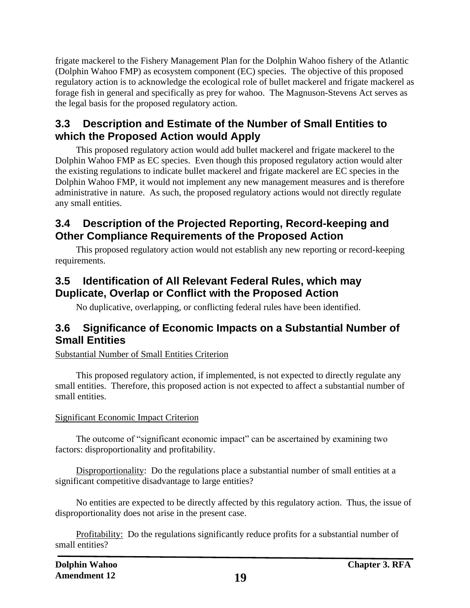frigate mackerel to the Fishery Management Plan for the Dolphin Wahoo fishery of the Atlantic (Dolphin Wahoo FMP) as ecosystem component (EC) species. The objective of this proposed regulatory action is to acknowledge the ecological role of bullet mackerel and frigate mackerel as forage fish in general and specifically as prey for wahoo. The Magnuson-Stevens Act serves as the legal basis for the proposed regulatory action.

#### <span id="page-23-0"></span>**3.3 Description and Estimate of the Number of Small Entities to which the Proposed Action would Apply**

This proposed regulatory action would add bullet mackerel and frigate mackerel to the Dolphin Wahoo FMP as EC species. Even though this proposed regulatory action would alter the existing regulations to indicate bullet mackerel and frigate mackerel are EC species in the Dolphin Wahoo FMP, it would not implement any new management measures and is therefore administrative in nature. As such, the proposed regulatory actions would not directly regulate any small entities.

#### <span id="page-23-1"></span>**3.4 Description of the Projected Reporting, Record-keeping and Other Compliance Requirements of the Proposed Action**

This proposed regulatory action would not establish any new reporting or record-keeping requirements.

#### <span id="page-23-2"></span>**3.5 Identification of All Relevant Federal Rules, which may Duplicate, Overlap or Conflict with the Proposed Action**

No duplicative, overlapping, or conflicting federal rules have been identified.

#### <span id="page-23-3"></span>**3.6 Significance of Economic Impacts on a Substantial Number of Small Entities**

Substantial Number of Small Entities Criterion

This proposed regulatory action, if implemented, is not expected to directly regulate any small entities. Therefore, this proposed action is not expected to affect a substantial number of small entities.

#### Significant Economic Impact Criterion

The outcome of "significant economic impact" can be ascertained by examining two factors: disproportionality and profitability.

Disproportionality: Do the regulations place a substantial number of small entities at a significant competitive disadvantage to large entities?

No entities are expected to be directly affected by this regulatory action. Thus, the issue of disproportionality does not arise in the present case.

Profitability: Do the regulations significantly reduce profits for a substantial number of small entities?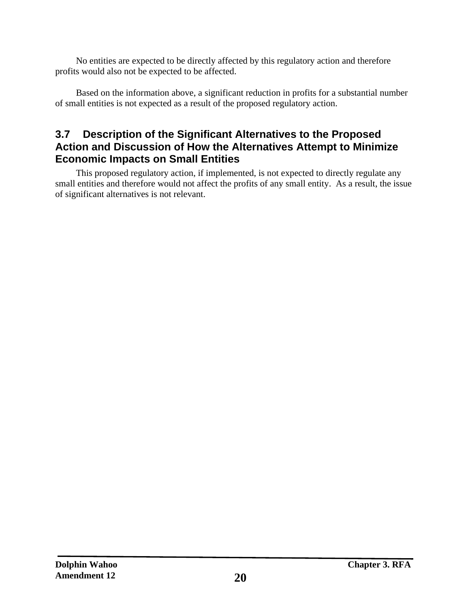No entities are expected to be directly affected by this regulatory action and therefore profits would also not be expected to be affected.

Based on the information above, a significant reduction in profits for a substantial number of small entities is not expected as a result of the proposed regulatory action.

### <span id="page-24-0"></span>**3.7 Description of the Significant Alternatives to the Proposed Action and Discussion of How the Alternatives Attempt to Minimize Economic Impacts on Small Entities**

This proposed regulatory action, if implemented, is not expected to directly regulate any small entities and therefore would not affect the profits of any small entity. As a result, the issue of significant alternatives is not relevant.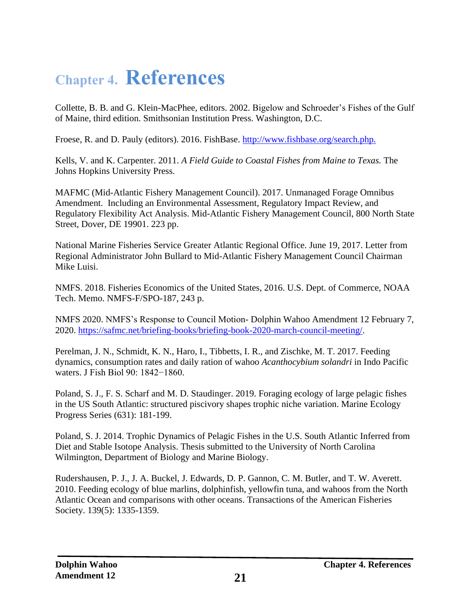## <span id="page-25-0"></span>**Chapter 4. References**

Collette, B. B. and G. Klein-MacPhee, editors. 2002. Bigelow and Schroeder's Fishes of the Gulf of Maine, third edition. Smithsonian Institution Press. Washington, D.C.

Froese, R. and D. Pauly (editors). 2016. FishBase.<http://www.fishbase.org/search.php.>

Kells, V. and K. Carpenter. 2011. *A Field Guide to Coastal Fishes from Maine to Texas.* The Johns Hopkins University Press.

MAFMC (Mid-Atlantic Fishery Management Council). 2017. Unmanaged Forage Omnibus Amendment. Including an Environmental Assessment, Regulatory Impact Review, and Regulatory Flexibility Act Analysis. Mid-Atlantic Fishery Management Council, 800 North State Street, Dover, DE 19901. 223 pp.

National Marine Fisheries Service Greater Atlantic Regional Office. June 19, 2017. Letter from Regional Administrator John Bullard to Mid-Atlantic Fishery Management Council Chairman Mike Luisi.

NMFS. 2018. Fisheries Economics of the United States, 2016. U.S. Dept. of Commerce, NOAA Tech. Memo. NMFS-F/SPO-187, 243 p.

NMFS 2020. NMFS's Response to Council Motion- Dolphin Wahoo Amendment 12 February 7, 2020. [https://safmc.net/briefing-books/briefing-book-2020-march-council-meeting/.](https://safmc.net/briefing-books/briefing-book-2020-march-council-meeting/)

Perelman, J. N., Schmidt, K. N., Haro, I., Tibbetts, I. R., and Zischke, M. T. 2017. Feeding dynamics, consumption rates and daily ration of wahoo *Acanthocybium solandri* in Indo Pacific waters. J Fish Biol 90: 1842−1860.

Poland, S. J., F. S. Scharf and M. D. Staudinger. 2019. Foraging ecology of large pelagic fishes in the US South Atlantic: structured piscivory shapes trophic niche variation. Marine Ecology Progress Series (631): 181-199.

Poland, S. J. 2014. Trophic Dynamics of Pelagic Fishes in the U.S. South Atlantic Inferred from Diet and Stable Isotope Analysis. Thesis submitted to the University of North Carolina Wilmington, Department of Biology and Marine Biology.

Rudershausen, P. J., J. A. Buckel, J. Edwards, D. P. Gannon, C. M. Butler, and T. W. Averett. 2010. Feeding ecology of blue marlins, dolphinfish, yellowfin tuna, and wahoos from the North Atlantic Ocean and comparisons with other oceans. Transactions of the American Fisheries Society. 139(5): 1335-1359.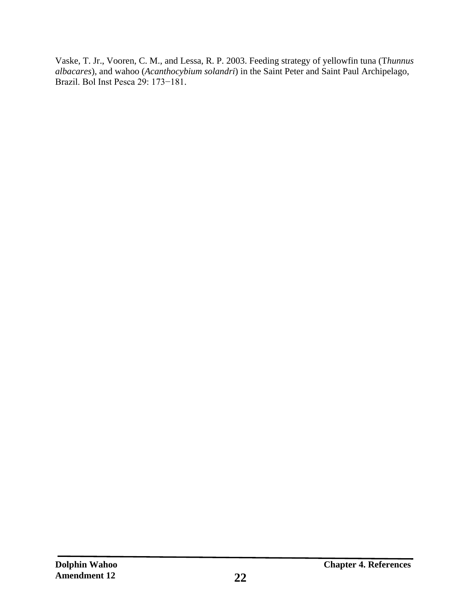Vaske, T. Jr., Vooren, C. M., and Lessa, R. P. 2003. Feeding strategy of yellowfin tuna (T*hunnus albacares*), and wahoo (*Acanthocybium solandri*) in the Saint Peter and Saint Paul Archipelago, Brazil. Bol Inst Pesca 29: 173−181.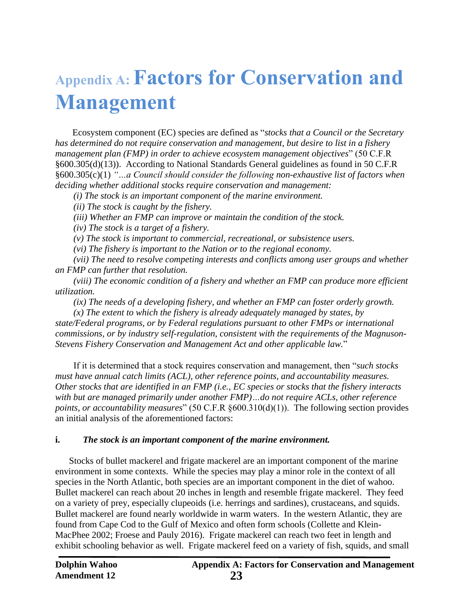# <span id="page-27-0"></span>**Appendix A: Factors for Conservation and Management**

Ecosystem component (EC) species are defined as "*stocks that a Council or the Secretary has determined do not require conservation and management, but desire to list in a fishery management plan (FMP) in order to achieve ecosystem management objectives*" (50 C.F.R §600.305(d)(13)). According to National Standards General guidelines as found in 50 C.F.R §600.305(c)(1) *"…a Council should consider the following non-exhaustive list of factors when deciding whether additional stocks require conservation and management:*

*(i) The stock is an important component of the marine environment.*

*(ii) The stock is caught by the fishery.*

*(iii) Whether an FMP can improve or maintain the condition of the stock.*

*(iv) The stock is a target of a fishery.*

*(v) The stock is important to commercial, recreational, or subsistence users.*

*(vi) The fishery is important to the Nation or to the regional economy.*

*(vii) The need to resolve competing interests and conflicts among user groups and whether an FMP can further that resolution.*

*(viii) The economic condition of a fishery and whether an FMP can produce more efficient utilization.*

*(ix) The needs of a developing fishery, and whether an FMP can foster orderly growth.*

*(x) The extent to which the fishery is already adequately managed by states, by state/Federal programs, or by Federal regulations pursuant to other FMPs or international commissions, or by industry self-regulation, consistent with the requirements of the Magnuson-Stevens Fishery Conservation and Management Act and other applicable law.*"

If it is determined that a stock requires conservation and management, then "*such stocks must have annual catch limits (ACL), other reference points, and accountability measures. Other stocks that are identified in an FMP (i.e., EC species or stocks that the fishery interacts with but are managed primarily under another FMP)…do not require ACLs, other reference points, or accountability measures*" (50 C.F.R §600.310(d)(1)). The following section provides an initial analysis of the aforementioned factors:

#### **i.** *The stock is an important component of the marine environment.*

Stocks of bullet mackerel and frigate mackerel are an important component of the marine environment in some contexts. While the species may play a minor role in the context of all species in the North Atlantic, both species are an important component in the diet of wahoo. Bullet mackerel can reach about 20 inches in length and resemble frigate mackerel. They feed on a variety of prey, especially clupeoids (i.e. herrings and sardines), crustaceans, and squids. Bullet mackerel are found nearly worldwide in warm waters. In the western Atlantic, they are found from Cape Cod to the Gulf of Mexico and often form schools (Collette and Klein-MacPhee 2002; Froese and Pauly 2016). Frigate mackerel can reach two feet in length and exhibit schooling behavior as well. Frigate mackerel feed on a variety of fish, squids, and small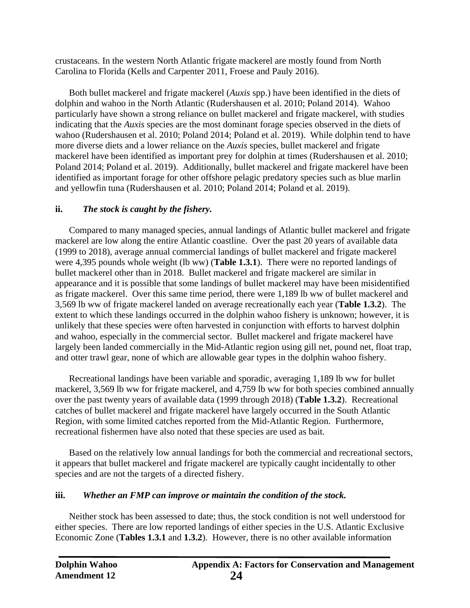crustaceans. In the western North Atlantic frigate mackerel are mostly found from North Carolina to Florida (Kells and Carpenter 2011, Froese and Pauly 2016).

Both bullet mackerel and frigate mackerel (*Auxis* spp.) have been identified in the diets of dolphin and wahoo in the North Atlantic (Rudershausen et al. 2010; Poland 2014). Wahoo particularly have shown a strong reliance on bullet mackerel and frigate mackerel, with studies indicating that the *Auxis* species are the most dominant forage species observed in the diets of wahoo (Rudershausen et al. 2010; Poland 2014; Poland et al. 2019). While dolphin tend to have more diverse diets and a lower reliance on the *Auxis* species, bullet mackerel and frigate mackerel have been identified as important prey for dolphin at times (Rudershausen et al. 2010; Poland 2014; Poland et al. 2019). Additionally, bullet mackerel and frigate mackerel have been identified as important forage for other offshore pelagic predatory species such as blue marlin and yellowfin tuna (Rudershausen et al. 2010; Poland 2014; Poland et al. 2019).

#### **ii.** *The stock is caught by the fishery.*

Compared to many managed species, annual landings of Atlantic bullet mackerel and frigate mackerel are low along the entire Atlantic coastline. Over the past 20 years of available data (1999 to 2018), average annual commercial landings of bullet mackerel and frigate mackerel were 4,395 pounds whole weight (lb ww) (**Table 1.3.1**). There were no reported landings of bullet mackerel other than in 2018. Bullet mackerel and frigate mackerel are similar in appearance and it is possible that some landings of bullet mackerel may have been misidentified as frigate mackerel. Over this same time period, there were 1,189 lb ww of bullet mackerel and 3,569 lb ww of frigate mackerel landed on average recreationally each year (**Table 1.3.2**). The extent to which these landings occurred in the dolphin wahoo fishery is unknown; however, it is unlikely that these species were often harvested in conjunction with efforts to harvest dolphin and wahoo, especially in the commercial sector. Bullet mackerel and frigate mackerel have largely been landed commercially in the Mid-Atlantic region using gill net, pound net, float trap, and otter trawl gear, none of which are allowable gear types in the dolphin wahoo fishery.

Recreational landings have been variable and sporadic, averaging 1,189 lb ww for bullet mackerel, 3,569 lb ww for frigate mackerel, and 4,759 lb ww for both species combined annually over the past twenty years of available data (1999 through 2018) (**Table 1.3.2**). Recreational catches of bullet mackerel and frigate mackerel have largely occurred in the South Atlantic Region, with some limited catches reported from the Mid-Atlantic Region. Furthermore, recreational fishermen have also noted that these species are used as bait.

Based on the relatively low annual landings for both the commercial and recreational sectors, it appears that bullet mackerel and frigate mackerel are typically caught incidentally to other species and are not the targets of a directed fishery.

#### **iii.** *Whether an FMP can improve or maintain the condition of the stock.*

Neither stock has been assessed to date; thus, the stock condition is not well understood for either species. There are low reported landings of either species in the U.S. Atlantic Exclusive Economic Zone (**Tables 1.3.1** and **1.3.2**). However, there is no other available information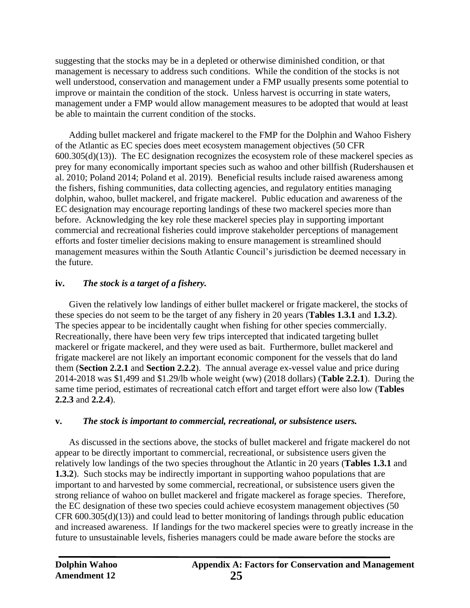suggesting that the stocks may be in a depleted or otherwise diminished condition, or that management is necessary to address such conditions. While the condition of the stocks is not well understood, conservation and management under a FMP usually presents some potential to improve or maintain the condition of the stock. Unless harvest is occurring in state waters, management under a FMP would allow management measures to be adopted that would at least be able to maintain the current condition of the stocks.

Adding bullet mackerel and frigate mackerel to the FMP for the Dolphin and Wahoo Fishery of the Atlantic as EC species does meet ecosystem management objectives (50 CFR 600.305(d)(13)). The EC designation recognizes the ecosystem role of these mackerel species as prey for many economically important species such as wahoo and other billfish (Rudershausen et al. 2010; Poland 2014; Poland et al. 2019). Beneficial results include raised awareness among the fishers, fishing communities, data collecting agencies, and regulatory entities managing dolphin, wahoo, bullet mackerel, and frigate mackerel. Public education and awareness of the EC designation may encourage reporting landings of these two mackerel species more than before. Acknowledging the key role these mackerel species play in supporting important commercial and recreational fisheries could improve stakeholder perceptions of management efforts and foster timelier decisions making to ensure management is streamlined should management measures within the South Atlantic Council's jurisdiction be deemed necessary in the future.

#### **iv.** *The stock is a target of a fishery.*

Given the relatively low landings of either bullet mackerel or frigate mackerel, the stocks of these species do not seem to be the target of any fishery in 20 years (**Tables 1.3.1** and **1.3.2**). The species appear to be incidentally caught when fishing for other species commercially. Recreationally, there have been very few trips intercepted that indicated targeting bullet mackerel or frigate mackerel, and they were used as bait. Furthermore, bullet mackerel and frigate mackerel are not likely an important economic component for the vessels that do land them (**Section 2.2.1** and **Section 2.2.2**). The annual average ex-vessel value and price during 2014-2018 was \$1,499 and \$1.29/lb whole weight (ww) (2018 dollars) (**Table 2.2.1**). During the same time period, estimates of recreational catch effort and target effort were also low (**Tables 2.2.3** and **2.2.4**).

#### **v.** *The stock is important to commercial, recreational, or subsistence users.*

As discussed in the sections above, the stocks of bullet mackerel and frigate mackerel do not appear to be directly important to commercial, recreational, or subsistence users given the relatively low landings of the two species throughout the Atlantic in 20 years (**Tables 1.3.1** and **1.3.2**). Such stocks may be indirectly important in supporting wahoo populations that are important to and harvested by some commercial, recreational, or subsistence users given the strong reliance of wahoo on bullet mackerel and frigate mackerel as forage species. Therefore, the EC designation of these two species could achieve ecosystem management objectives (50 CFR 600.305(d)(13)) and could lead to better monitoring of landings through public education and increased awareness. If landings for the two mackerel species were to greatly increase in the future to unsustainable levels, fisheries managers could be made aware before the stocks are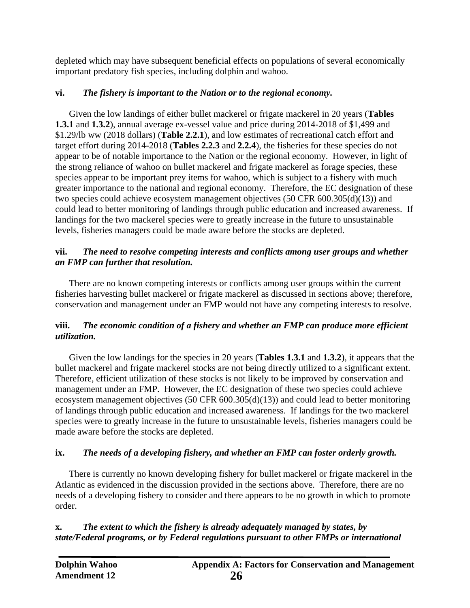depleted which may have subsequent beneficial effects on populations of several economically important predatory fish species, including dolphin and wahoo.

#### **vi.** *The fishery is important to the Nation or to the regional economy.*

Given the low landings of either bullet mackerel or frigate mackerel in 20 years (**Tables 1.3.1** and **1.3.2**), annual average ex-vessel value and price during 2014-2018 of \$1,499 and \$1.29/lb ww (2018 dollars) (**Table 2.2.1**), and low estimates of recreational catch effort and target effort during 2014-2018 (**Tables 2.2.3** and **2.2.4**), the fisheries for these species do not appear to be of notable importance to the Nation or the regional economy. However, in light of the strong reliance of wahoo on bullet mackerel and frigate mackerel as forage species, these species appear to be important prey items for wahoo, which is subject to a fishery with much greater importance to the national and regional economy. Therefore, the EC designation of these two species could achieve ecosystem management objectives (50 CFR 600.305(d)(13)) and could lead to better monitoring of landings through public education and increased awareness. If landings for the two mackerel species were to greatly increase in the future to unsustainable levels, fisheries managers could be made aware before the stocks are depleted.

#### **vii.** *The need to resolve competing interests and conflicts among user groups and whether an FMP can further that resolution.*

There are no known competing interests or conflicts among user groups within the current fisheries harvesting bullet mackerel or frigate mackerel as discussed in sections above; therefore, conservation and management under an FMP would not have any competing interests to resolve.

#### **viii.** *The economic condition of a fishery and whether an FMP can produce more efficient utilization.*

Given the low landings for the species in 20 years (**Tables 1.3.1** and **1.3.2**), it appears that the bullet mackerel and frigate mackerel stocks are not being directly utilized to a significant extent. Therefore, efficient utilization of these stocks is not likely to be improved by conservation and management under an FMP. However, the EC designation of these two species could achieve ecosystem management objectives (50 CFR 600.305(d)(13)) and could lead to better monitoring of landings through public education and increased awareness. If landings for the two mackerel species were to greatly increase in the future to unsustainable levels, fisheries managers could be made aware before the stocks are depleted.

#### **ix.** *The needs of a developing fishery, and whether an FMP can foster orderly growth.*

There is currently no known developing fishery for bullet mackerel or frigate mackerel in the Atlantic as evidenced in the discussion provided in the sections above. Therefore, there are no needs of a developing fishery to consider and there appears to be no growth in which to promote order.

**x.** *The extent to which the fishery is already adequately managed by states, by state/Federal programs, or by Federal regulations pursuant to other FMPs or international*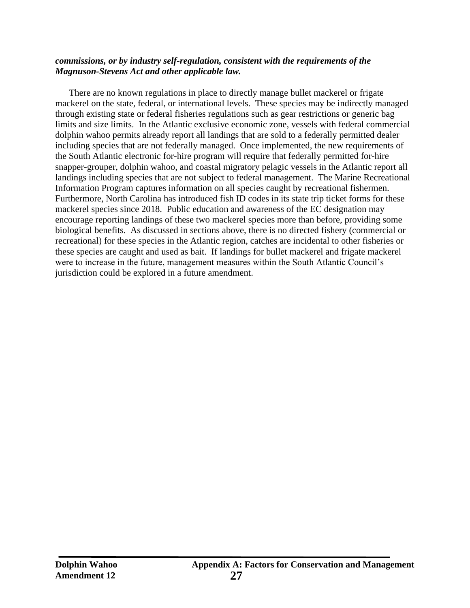#### *commissions, or by industry self-regulation, consistent with the requirements of the Magnuson-Stevens Act and other applicable law.*

There are no known regulations in place to directly manage bullet mackerel or frigate mackerel on the state, federal, or international levels. These species may be indirectly managed through existing state or federal fisheries regulations such as gear restrictions or generic bag limits and size limits. In the Atlantic exclusive economic zone, vessels with federal commercial dolphin wahoo permits already report all landings that are sold to a federally permitted dealer including species that are not federally managed. Once implemented, the new requirements of the South Atlantic electronic for-hire program will require that federally permitted for-hire snapper-grouper, dolphin wahoo, and coastal migratory pelagic vessels in the Atlantic report all landings including species that are not subject to federal management. The Marine Recreational Information Program captures information on all species caught by recreational fishermen. Furthermore, North Carolina has introduced fish ID codes in its state trip ticket forms for these mackerel species since 2018. Public education and awareness of the EC designation may encourage reporting landings of these two mackerel species more than before, providing some biological benefits. As discussed in sections above, there is no directed fishery (commercial or recreational) for these species in the Atlantic region, catches are incidental to other fisheries or these species are caught and used as bait. If landings for bullet mackerel and frigate mackerel were to increase in the future, management measures within the South Atlantic Council's jurisdiction could be explored in a future amendment.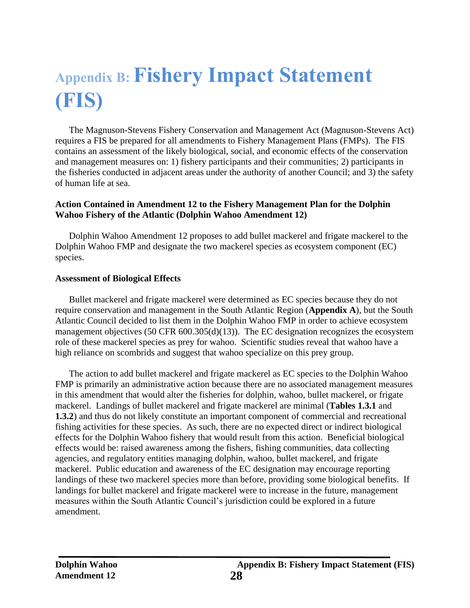# <span id="page-32-0"></span>**Appendix B: Fishery Impact Statement (FIS)**

The Magnuson-Stevens Fishery Conservation and Management Act (Magnuson-Stevens Act) requires a FIS be prepared for all amendments to Fishery Management Plans (FMPs). The FIS contains an assessment of the likely biological, social, and economic effects of the conservation and management measures on: 1) fishery participants and their communities; 2) participants in the fisheries conducted in adjacent areas under the authority of another Council; and 3) the safety of human life at sea.

#### **Action Contained in Amendment 12 to the Fishery Management Plan for the Dolphin Wahoo Fishery of the Atlantic (Dolphin Wahoo Amendment 12)**

Dolphin Wahoo Amendment 12 proposes to add bullet mackerel and frigate mackerel to the Dolphin Wahoo FMP and designate the two mackerel species as ecosystem component (EC) species.

#### **Assessment of Biological Effects**

Bullet mackerel and frigate mackerel were determined as EC species because they do not require conservation and management in the South Atlantic Region (**Appendix A**), but the South Atlantic Council decided to list them in the Dolphin Wahoo FMP in order to achieve ecosystem management objectives  $(50 \text{ CFR } 600.305(d)(13))$ . The EC designation recognizes the ecosystem role of these mackerel species as prey for wahoo. Scientific studies reveal that wahoo have a high reliance on scombrids and suggest that wahoo specialize on this prey group.

The action to add bullet mackerel and frigate mackerel as EC species to the Dolphin Wahoo FMP is primarily an administrative action because there are no associated management measures in this amendment that would alter the fisheries for dolphin, wahoo, bullet mackerel, or frigate mackerel. Landings of bullet mackerel and frigate mackerel are minimal (**Tables 1.3.1** and **1.3.2**) and thus do not likely constitute an important component of commercial and recreational fishing activities for these species. As such, there are no expected direct or indirect biological effects for the Dolphin Wahoo fishery that would result from this action. Beneficial biological effects would be: raised awareness among the fishers, fishing communities, data collecting agencies, and regulatory entities managing dolphin, wahoo, bullet mackerel, and frigate mackerel. Public education and awareness of the EC designation may encourage reporting landings of these two mackerel species more than before, providing some biological benefits. If landings for bullet mackerel and frigate mackerel were to increase in the future, management measures within the South Atlantic Council's jurisdiction could be explored in a future amendment.